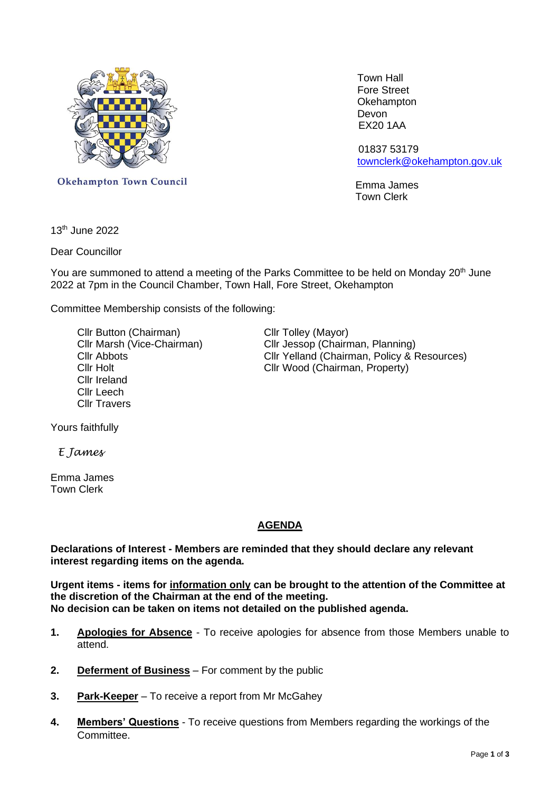

 Town Hall Fore Street **Okehampton** Devon EX20 1AA

 01837 53179 [townclerk@okehampton.gov.uk](mailto:townclerk@okehampton.gov.uk)

Town Clerk

Okehampton Town Council Communication of the Emma James

13th June 2022

Dear Councillor

You are summoned to attend a meeting of the Parks Committee to be held on Monday 20<sup>th</sup> June 2022 at 7pm in the Council Chamber, Town Hall, Fore Street, Okehampton

Committee Membership consists of the following:

Cllr Button (Chairman) Cllr Tolley (Mayor) Cllr Ireland Cllr Leech Cllr Travers

Cllr Marsh (Vice-Chairman) Cllr Jessop (Chairman, Planning) Cllr Abbots<br>Cllr Yelland (Chairman, Policy & Resources)<br>Cllr Holt<br>Cllr Wood (Chairman, Property) Cllr Wood (Chairman, Property)

Yours faithfully

 *E James*

Emma James Town Clerk

# **AGENDA**

**Declarations of Interest - Members are reminded that they should declare any relevant interest regarding items on the agenda.**

**Urgent items - items for information only can be brought to the attention of the Committee at the discretion of the Chairman at the end of the meeting. No decision can be taken on items not detailed on the published agenda.**

- **1. Apologies for Absence** To receive apologies for absence from those Members unable to attend.
- **2. Deferment of Business** For comment by the public
- **3. Park-Keeper** To receive a report from Mr McGahey
- **4. Members' Questions** To receive questions from Members regarding the workings of the Committee.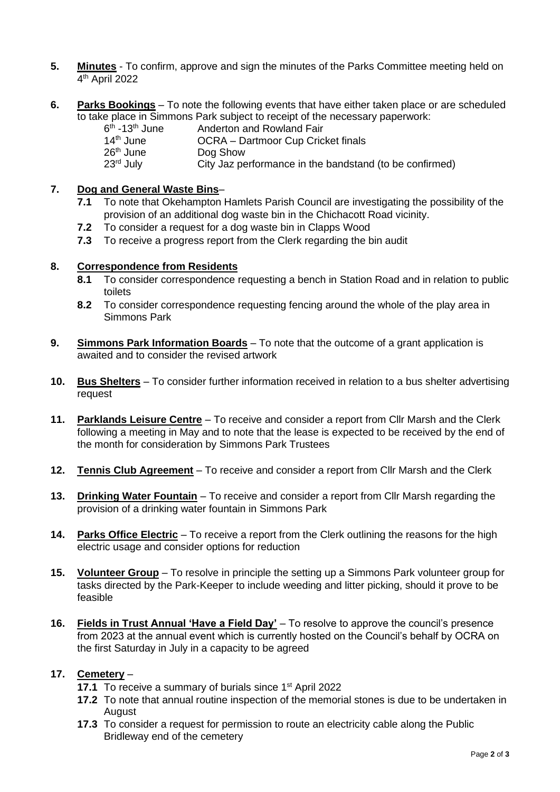- **5. Minutes** To confirm, approve and sign the minutes of the Parks Committee meeting held on 4 th April 2022
- **6. Parks Bookings** To note the following events that have either taken place or are scheduled to take place in Simmons Park subject to receipt of the necessary paperwork:

| $6th$ -13 <sup>th</sup> June | Anderton and Rowland Fair                               |
|------------------------------|---------------------------------------------------------|
| 14 <sup>th</sup> June        | OCRA - Dartmoor Cup Cricket finals                      |
| $26th$ June                  | Dog Show                                                |
| $23rd$ July                  | City Jaz performance in the bandstand (to be confirmed) |

## **7. Dog and General Waste Bins**–

- **7.1** To note that Okehampton Hamlets Parish Council are investigating the possibility of the provision of an additional dog waste bin in the Chichacott Road vicinity.
- **7.2** To consider a request for a dog waste bin in Clapps Wood
- **7.3** To receive a progress report from the Clerk regarding the bin audit

#### **8. Correspondence from Residents**

- **8.1** To consider correspondence requesting a bench in Station Road and in relation to public toilets
- **8.2** To consider correspondence requesting fencing around the whole of the play area in Simmons Park
- **9. Simmons Park Information Boards** To note that the outcome of a grant application is awaited and to consider the revised artwork
- **10. Bus Shelters** To consider further information received in relation to a bus shelter advertising request
- **11. Parklands Leisure Centre** To receive and consider a report from Cllr Marsh and the Clerk following a meeting in May and to note that the lease is expected to be received by the end of the month for consideration by Simmons Park Trustees
- **12. Tennis Club Agreement** To receive and consider a report from Cllr Marsh and the Clerk
- **13. Drinking Water Fountain** To receive and consider a report from Cllr Marsh regarding the provision of a drinking water fountain in Simmons Park
- **14. Parks Office Electric** To receive a report from the Clerk outlining the reasons for the high electric usage and consider options for reduction
- **15. Volunteer Group** To resolve in principle the setting up a Simmons Park volunteer group for tasks directed by the Park-Keeper to include weeding and litter picking, should it prove to be feasible
- **16. Fields in Trust Annual 'Have a Field Day'** To resolve to approve the council's presence from 2023 at the annual event which is currently hosted on the Council's behalf by OCRA on the first Saturday in July in a capacity to be agreed

## **17. Cemetery** –

- **17.1** To receive a summary of burials since 1<sup>st</sup> April 2022
- **17.2** To note that annual routine inspection of the memorial stones is due to be undertaken in **August**
- **17.3** To consider a request for permission to route an electricity cable along the Public Bridleway end of the cemetery